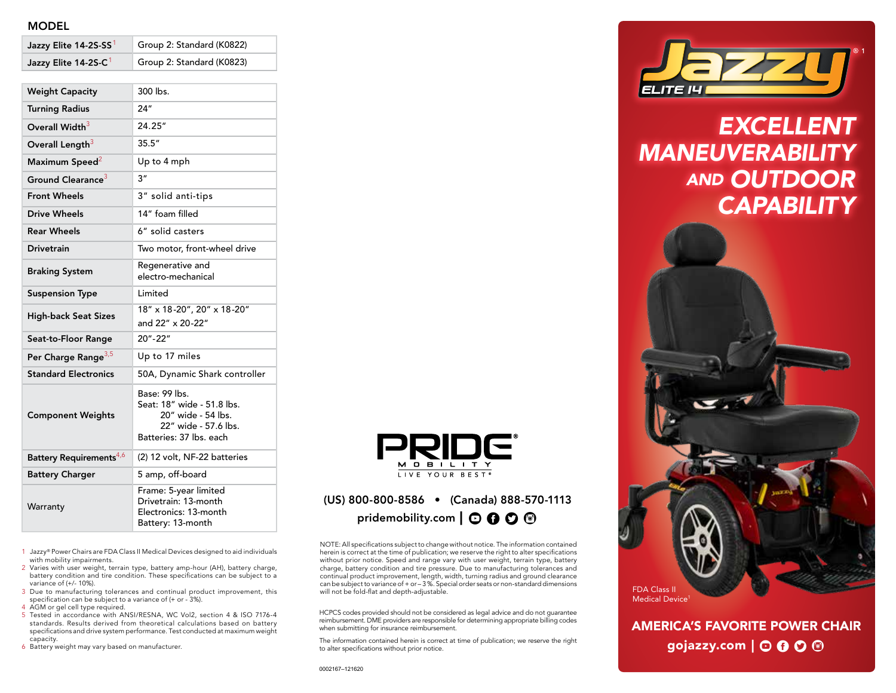### MODEL

| Jazzy Elite 14-2S-C <sup>1</sup>    | Group 2: Standard (K0823)                                                                                            |
|-------------------------------------|----------------------------------------------------------------------------------------------------------------------|
| <b>Weight Capacity</b>              | 300 lbs.                                                                                                             |
| <b>Turning Radius</b>               | 24"                                                                                                                  |
| Overall Width <sup>3</sup>          | 24.25"                                                                                                               |
| Overall Length <sup>3</sup>         | 35.5''                                                                                                               |
| Maximum Speed <sup>2</sup>          | Up to 4 mph                                                                                                          |
| Ground Clearance <sup>3</sup>       | 3"                                                                                                                   |
| <b>Front Wheels</b>                 | 3" solid anti-tips                                                                                                   |
| <b>Drive Wheels</b>                 | 14" foam filled                                                                                                      |
| <b>Rear Wheels</b>                  | 6" solid casters                                                                                                     |
| <b>Drivetrain</b>                   | Two motor, front-wheel drive                                                                                         |
| <b>Braking System</b>               | Regenerative and<br>electro-mechanical                                                                               |
| <b>Suspension Type</b>              | Limited                                                                                                              |
| <b>High-back Seat Sizes</b>         | 18" x 18-20", 20" x 18-20"<br>and 22" x 20-22"                                                                       |
| Seat-to-Floor Range                 | $20 - 22$                                                                                                            |
| Per Charge Range <sup>3,5</sup>     | Up to 17 miles                                                                                                       |
| <b>Standard Electronics</b>         | 50A, Dynamic Shark controller                                                                                        |
| <b>Component Weights</b>            | Base: 99 lbs.<br>Seat: 18" wide - 51.8 lbs.<br>20" wide - 54 lbs.<br>22" wide - 57.6 lbs.<br>Batteries: 37 lbs. each |
| Battery Requirements <sup>4,6</sup> | (2) 12 volt, NF-22 batteries                                                                                         |
| <b>Battery Charger</b>              | 5 amp, off-board                                                                                                     |
| Warranty                            | Frame: 5-year limited<br>Drivetrain: 13-month<br>Electronics: 13-month<br>Battery: 13-month                          |

Jazzy Elite 14-2S-SS<sup>1</sup> Group 2: Standard (K0822)

1 Jazzy® Power Chairs are FDA Class II Medical Devices designed to aid individuals with mobility impairments.

- 2 Varies with user weight, terrain type, battery amp-hour (AH), battery charge, battery condition and tire condition. These specifications can be subject to a variance of (+/- 10%).
- 3 Due to manufacturing tolerances and continual product improvement, this specification can be subject to a variance of (+ or 3%).

4 AGM or gel cell type required.

- 5 Tested in accordance with ANSI/RESNA, WC Vol2, section 4 & ISO 7176-4 standards. Results derived from theoretical calculations based on battery specifications and drive system performance. Test conducted at maximum weight capacity.
- 6 Battery weight may vary based on manufacturer.



## (US) 800-800-8586 • (Canada) 888-570-1113 pridemobility.com  $\mathbf{O} \mathbf{O} \mathbf{O} \mathbf{O}$

NOTE: All specifications subject to change without notice. The information contained herein is correct at the time of publication; we reserve the right to alter specifications without prior notice. Speed and range vary with user weight, terrain type, battery charge, battery condition and tire pressure. Due to manufacturing tolerances and continual product improvement, length, width, turning radius and ground clearance can be subject to variance of + or – 3 %. Special order seats or non-standard dimensions will not be fold-flat and depth-adjustable.

HCPCS codes provided should not be considered as legal advice and do not guarantee reimbursement. DME providers are responsible for determining appropriate billing codes when submitting for insurance reimbursement.

The information contained herein is correct at time of publication; we reserve the right to alter specifications without prior notice.



*EXCELLENT MANEUVERABILITY AND OUTDOOR CAPABILITY*



AMERICA'S FAVORITE POWER CHAIR gojazzy.com  $\vert \odot \mathbf{0} \odot \mathbf{\odot}$